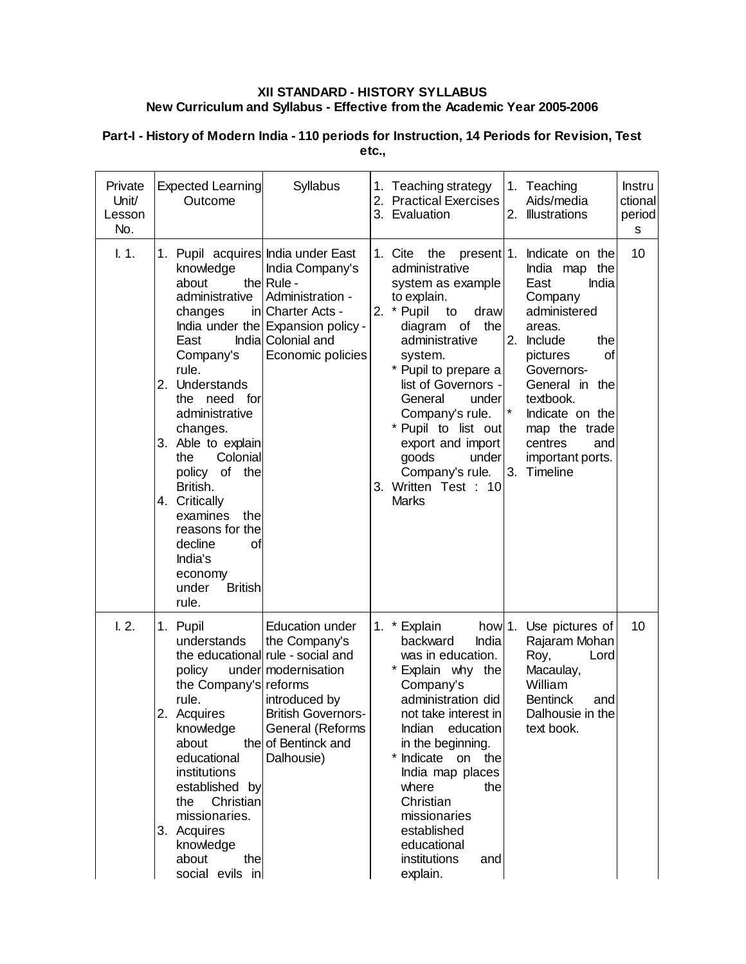## **XII STANDARD - HISTORY SYLLABUS New Curriculum and Syllabus - Effective from the Academic Year 2005-2006**

| Private<br>Unit/<br>Lesson<br>No. | <b>Expected Learning</b><br>Outcome                                                                                                                                                                                                                                                                                                                                                         | Syllabus                                                                                                                                                                                                   |    | 1. Teaching strategy<br>2. Practical Exercises<br>3. Evaluation                                                                                                                                                                                                                                                                                                | 1. Teaching<br>Aids/media<br>2. Illustrations                                                                                                                                                                                                                                     | <b>Instru</b><br>ctional<br>period<br>s |
|-----------------------------------|---------------------------------------------------------------------------------------------------------------------------------------------------------------------------------------------------------------------------------------------------------------------------------------------------------------------------------------------------------------------------------------------|------------------------------------------------------------------------------------------------------------------------------------------------------------------------------------------------------------|----|----------------------------------------------------------------------------------------------------------------------------------------------------------------------------------------------------------------------------------------------------------------------------------------------------------------------------------------------------------------|-----------------------------------------------------------------------------------------------------------------------------------------------------------------------------------------------------------------------------------------------------------------------------------|-----------------------------------------|
| 1.1.                              | 1. Pupil acquires India under East<br>knowledge<br>about<br>administrative<br>changes<br>East<br>Company's<br>rule.<br>2. Understands<br>the need for<br>administrative<br>changes.<br>3. Able to explain<br>Colonial<br>the<br>policy of the<br>British.<br>4. Critically<br>examines<br>the<br>reasons for the<br>decline<br>οt<br>India's<br>economy<br>under<br><b>British</b><br>rule. | India Company's<br>the Rule -<br>Administration -<br>in Charter Acts -<br>India under the Expansion policy -<br>Indial Colonial and<br>Economic policies                                                   |    | 1. Cite<br>the<br>administrative<br>system as example<br>to explain.<br>2. * Pupil<br>draw<br>to<br>diagram of the<br>administrative<br>system.<br>* Pupil to prepare a<br>list of Governors -<br>General<br>under<br>Company's rule.<br>* Pupil to list out<br>export and import<br>goods<br>under<br>Company's rule.<br>3. Written Test : 10<br><b>Marks</b> | present 1. Indicate on the<br>India map<br>the<br>East<br>India<br>Company<br>administered<br>areas.<br>2. Include<br>the<br>pictures<br>οf<br>Governors-<br>General in the<br>textbook.<br>Indicate on the<br>map the trade<br>centres<br>and<br>important ports.<br>3. Timeline | 10                                      |
| $L2$ .                            | 1. Pupil<br>understands<br>policy<br>the Company's reforms<br>rule.<br>2<br>Acquires<br>knowledge<br>about<br>educational<br>institutions<br>established by<br>Christian<br>the<br>missionaries.<br>3. Acquires<br>knowledge<br>about<br>the<br>social evils in                                                                                                                             | <b>Education under</b><br>the Company's<br>the educational rule - social and<br>under modernisation<br>introduced by<br><b>British Governors-</b><br>General (Reforms<br>the of Bentinck and<br>Dalhousie) | 1. | * Explain<br>how 1.<br>India<br>backward<br>was in education.<br>Explain why the<br>Company's<br>administration did<br>not take interest inl<br>Indian education<br>in the beginning.<br>Indicate on the<br>India map places<br>where<br>the<br>Christian<br>missionaries<br>established<br>educational<br>institutions<br>and<br>explain.                     | Use pictures of<br>Rajaram Mohan<br>Roy,<br>Lord<br>Macaulay,<br>William<br><b>Bentinck</b><br>and<br>Dalhousie in the<br>text book.                                                                                                                                              | 10                                      |

## **Part-I - History of Modern India - 110 periods for Instruction, 14 Periods for Revision, Test etc.,**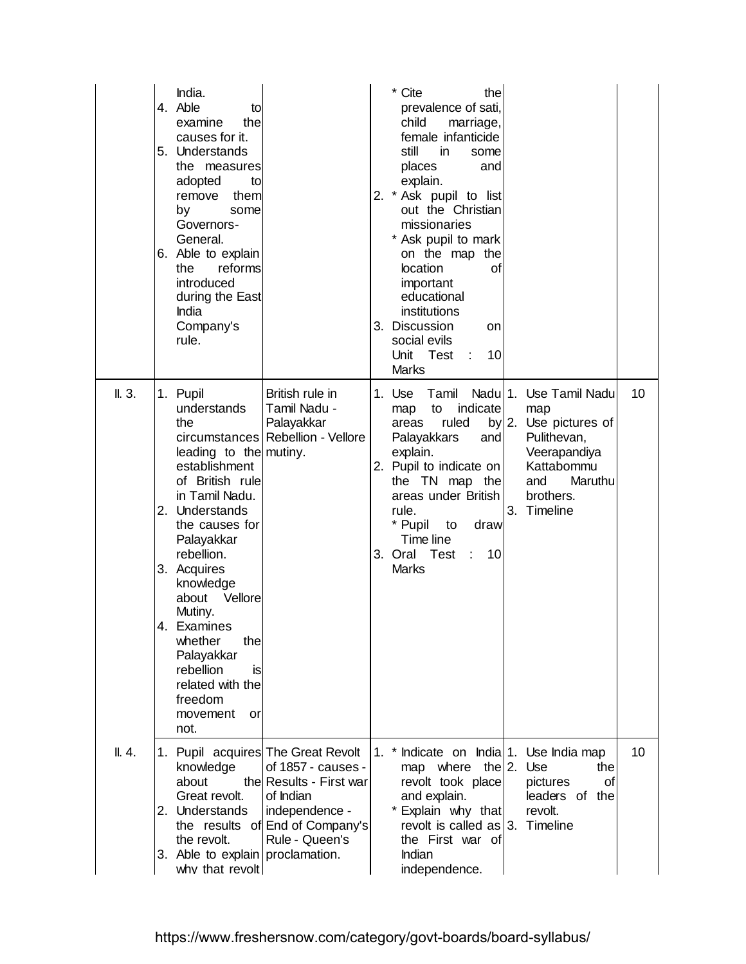|        | India.<br>4. Able<br>to<br>examine<br>the<br>causes for it.<br>5. Understands<br>the measures<br>adopted<br>to<br>remove<br>them<br>by<br>some<br>Governors-<br>General.<br>6. Able to explain<br>reforms<br>the<br>introduced<br>during the East<br>India<br>Company's<br>rule.                                                                                           |                                                                                                                                   |    | * Cite<br>the<br>prevalence of sati,<br>child<br>marriage,<br>female infanticide<br>still<br>in.<br>some<br>places<br>and<br>explain.<br>2. * Ask pupil to list<br>out the Christian<br>missionaries<br>* Ask pupil to mark<br>on the map the<br>location<br>οf<br>important<br>educational<br>institutions<br>3. Discussion<br>on<br>social evils<br>Unit Test<br>10<br>÷.<br><b>Marks</b> |    |                                                                                                                                                  |    |
|--------|----------------------------------------------------------------------------------------------------------------------------------------------------------------------------------------------------------------------------------------------------------------------------------------------------------------------------------------------------------------------------|-----------------------------------------------------------------------------------------------------------------------------------|----|---------------------------------------------------------------------------------------------------------------------------------------------------------------------------------------------------------------------------------------------------------------------------------------------------------------------------------------------------------------------------------------------|----|--------------------------------------------------------------------------------------------------------------------------------------------------|----|
| II. 3. | 1. Pupil<br>understands<br>the<br>leading to the mutiny.<br>establishment<br>of British rule<br>in Tamil Nadu.<br>Understands<br>2.<br>the causes for<br>Palayakkar<br>rebellion.<br>3. Acquires<br>knowledge<br>Vellore<br>about<br>Mutiny.<br>4.<br>Examines<br>whether<br>the<br>Palayakkar<br>rebellion<br>is<br>related with the<br>freedom<br>movement<br>or<br>not. | British rule in<br>Tamil Nadu -<br>Palayakkar<br>circumstances   Rebellion - Vellore                                              |    | 1. Use<br>Tamil<br>indicate<br>map<br>to<br>ruled<br>areas<br>Palayakkars<br>and<br>explain.<br>2. Pupil to indicate on<br>the TN map the<br>areas under British<br>rule.<br>* Pupil<br>draw<br>to<br>Time line<br>3. Oral Test<br>10<br>$\mathbb{R}^{\mathbb{Z}}$<br><b>Marks</b>                                                                                                          | 3. | Nadu 1. Use Tamil Nadu<br>map<br>$by$ 2. Use pictures of<br>Pulithevan,<br>Veerapandiya<br>Kattabommu<br>and<br>Maruthu<br>brothers.<br>Timeline | 10 |
| II.4.  | 1. Pupil acquires The Great Revolt<br>knowledge<br>about<br>Great revolt.<br>2. Understands<br>the revolt.<br>3. Able to explain proclamation.                                                                                                                                                                                                                             | of 1857 - causes -<br>the Results - First war<br>of Indian<br>independence -<br>the results of End of Company's<br>Rule - Queen's | 1. | * Indicate on India 1. Use India map<br>the $2$ .<br>map where<br>revolt took place<br>and explain.<br>* Explain why that<br>revolt is called as $ 3$ .<br>the First war of<br>Indian                                                                                                                                                                                                       |    | Use<br>the<br><b>of</b><br>pictures<br>leaders of the<br>revolt.<br>Timeline                                                                     | 10 |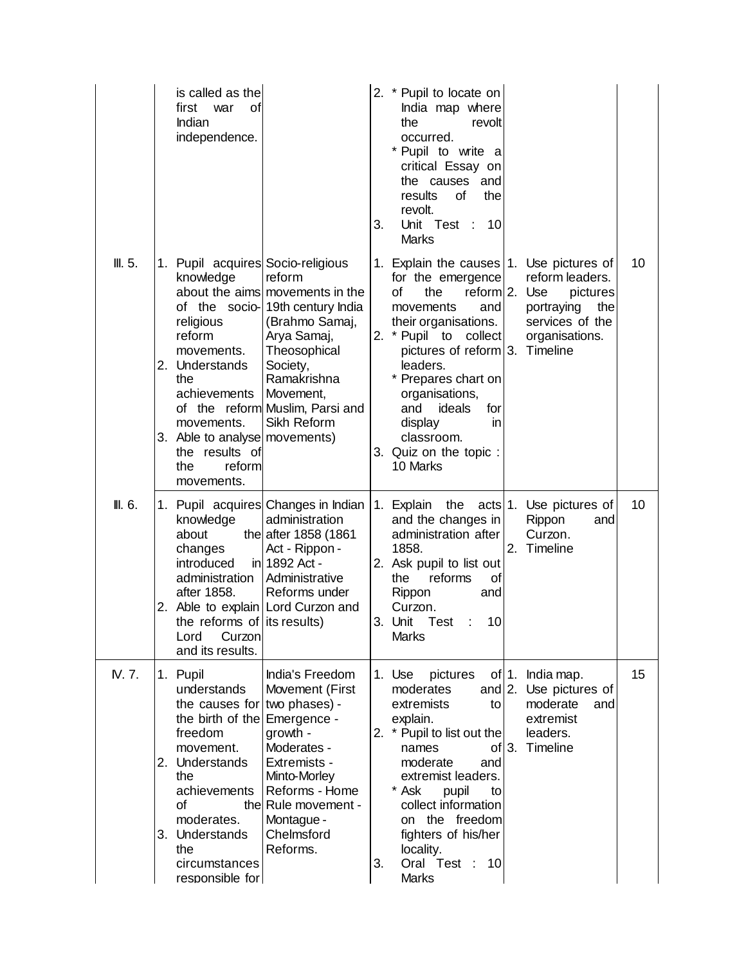|         | is called as the<br>first<br>war<br>οt<br>Indian<br>independence.                                                                                                                                                                         |                                                                                                                                                                                                                         | 3. | 2. * Pupil to locate on<br>India map where<br>the<br>revolt<br>occurred.<br>* Pupil to write a<br>critical Essay on<br>the causes and<br>results<br>of<br>the<br>revolt.<br>Unit Test :<br>10<br>Marks                                                                                                                                              |                                                                                                  |    |
|---------|-------------------------------------------------------------------------------------------------------------------------------------------------------------------------------------------------------------------------------------------|-------------------------------------------------------------------------------------------------------------------------------------------------------------------------------------------------------------------------|----|-----------------------------------------------------------------------------------------------------------------------------------------------------------------------------------------------------------------------------------------------------------------------------------------------------------------------------------------------------|--------------------------------------------------------------------------------------------------|----|
| III. 5. | 1. Pupil acquires Socio-religious<br>knowledge<br>religious<br>reform<br>movements.<br>2. Understands<br>the<br>achievements<br>movements.<br>3. Able to analyse movements)<br>the results of<br>reform<br>the<br>movements.              | reform<br>about the aims movements in the<br>of the socio-19th century India<br>(Brahmo Samaj,<br>Arya Samaj,<br>Theosophical<br>Society,<br>Ramakrishna<br>Movement,<br>of the reform Muslim, Parsi and<br>Sikh Reform |    | 1. Explain the causes 1. Use pictures of<br>for the emergence<br>οf<br>the<br>reform $2$ .<br>movements<br>and<br>their organisations.<br>2. * Pupil to collect<br>pictures of reform $3$ . Timeline<br>leaders.<br>* Prepares chart on<br>organisations,<br>and ideals<br>for<br>display<br>in<br>classroom.<br>3. Quiz on the topic :<br>10 Marks | reform leaders.<br>Use<br>pictures<br>portraying<br>the<br>services of the<br>organisations.     | 10 |
| III. 6. | knowledge<br>about<br>changes<br>introduced<br>administration<br>after 1858.<br>2. Able to explain Lord Curzon and<br>the reforms of its results)<br>Lord<br>Curzon<br>and its results.                                                   | 1. Pupil acquires Changes in Indian<br>administration<br>the after 1858 (1861<br>Act - Rippon -<br>in 1892 Act -<br>Administrative<br>Reforms under                                                                     |    | 1. Explain<br>the<br>and the changes in<br>administration after<br>1858.<br>2. Ask pupil to list out<br>reforms<br>οf<br>the<br>Rippon<br>and<br>Curzon.<br>3. Unit<br><b>Test</b><br>10<br><b>Marks</b>                                                                                                                                            | acts 1. Use pictures of<br>Rippon<br>and<br>Curzon.<br>2. Timeline                               | 10 |
| IV. 7.  | 1. Pupil<br>understands<br>the causes for two phases) -<br>the birth of the Emergence -<br>freedom<br>movement.<br>2. Understands<br>the<br>achievements<br>οf<br>moderates.<br>3. Understands<br>the<br>circumstances<br>responsible for | India's Freedom<br>Movement (First<br>growth -<br>Moderates -<br>Extremists -<br>Minto-Morley<br>Reforms - Home<br>the Rule movement -<br>Montague -<br>Chelmsford<br>Reforms.                                          | 3. | 1. Use<br>pictures<br>moderates<br>and $2.$<br>extremists<br>to<br>explain.<br>2. * Pupil to list out the<br>names<br>of<br>moderate<br>and<br>extremist leaders.<br>* Ask<br>pupil<br>to<br>collect information<br>on the freedom<br>fighters of his/her<br>locality.<br>Oral Test : 10<br>Marks                                                   | of $1.$ India map.<br>Use pictures of<br>moderate<br>and<br>extremist<br>leaders.<br>3. Timeline | 15 |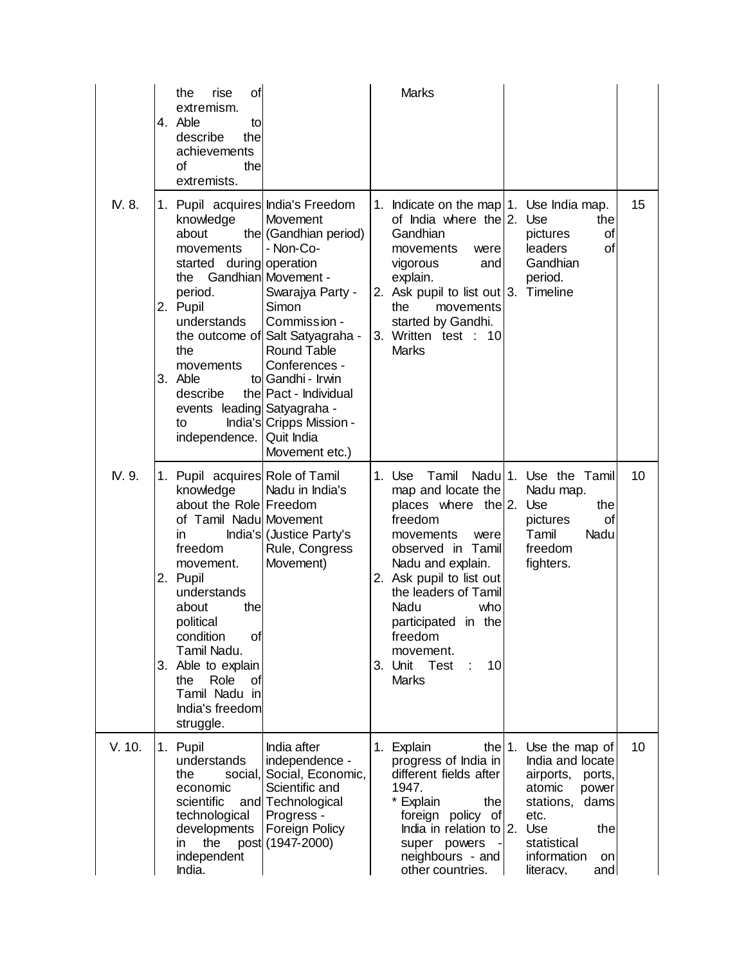|        | rise<br>οf<br>the<br>extremism.<br>4. Able<br>to<br>describe<br>the<br>achievements<br>οf<br>the<br>extremists.                                                                                                                                                                                                      |                                                                                                                                                                                                                                                                                                         | Marks                                                                                                                                                                                                                                                                                                 |                                                                                                                                                                              |    |
|--------|----------------------------------------------------------------------------------------------------------------------------------------------------------------------------------------------------------------------------------------------------------------------------------------------------------------------|---------------------------------------------------------------------------------------------------------------------------------------------------------------------------------------------------------------------------------------------------------------------------------------------------------|-------------------------------------------------------------------------------------------------------------------------------------------------------------------------------------------------------------------------------------------------------------------------------------------------------|------------------------------------------------------------------------------------------------------------------------------------------------------------------------------|----|
| IV. 8. | knowledge<br>about<br>movements<br>started during operation<br>the Gandhian Movement -<br>period.<br>2. Pupil<br>understands<br>the<br>movements<br>3. Able<br>describe<br>events leading Satyagraha -<br>to<br>independence.   Quit India                                                                           | 1. Pupil acquires India's Freedom<br>Movement<br>the (Gandhian period)<br>- Non-Co-<br>Swarajya Party -<br>Simon<br>Commission -<br>the outcome of Salt Satyagraha -<br><b>Round Table</b><br>Conferences -<br>to Gandhi - Irwin<br>the Pact - Individual<br>India's Cripps Mission -<br>Movement etc.) | 1. Indicate on the map 1. Use India map.<br>of India where the 2. Use<br>Gandhian<br>movements<br>were<br>and<br>vigorous<br>explain.<br>2. Ask pupil to list out 3. Timeline<br>the<br>movements<br>started by Gandhi.<br>3. Written test : 10<br><b>Marks</b>                                       | the<br>of<br>pictures<br>leaders<br>οf<br>Gandhian<br>period.                                                                                                                | 15 |
| IV. 9. | 1. Pupil acquires Role of Tamil<br>knowledge<br>about the Role Freedom<br>of Tamil Nadu Movement<br>in<br>freedom<br>movement.<br>2. Pupil<br>understands<br>about<br>the<br>political<br>condition<br>of<br>Tamil Nadu.<br>3. Able to explain<br>Role<br>the<br>Οf<br>Tamil Nadu in<br>India's freedom<br>struggle. | Nadu in India's<br>India's (Justice Party's<br>Rule, Congress<br>Movement)                                                                                                                                                                                                                              | 1. Use<br>Tamil<br>map and locate the<br>places where the $2$ . Use<br>freedom<br>movements<br>were<br>observed in Tamil<br>Nadu and explain.<br>2. Ask pupil to list out<br>the leaders of Tamil<br>Nadu<br>who<br>participated in the<br>freedom<br>movement.<br>3. Unit Test<br>10<br><b>Marks</b> | Nadu 1. Use the Tamil<br>Nadu map.<br>the<br>of<br>pictures<br>Tamil<br>Nadu<br>freedom<br>fighters.                                                                         | 10 |
| V. 10. | 1. Pupil<br>understands<br>social,<br>the<br>economic<br>scientific<br>technological<br>developments<br>the<br>ın<br>independent<br>India.                                                                                                                                                                           | India after<br>independence -<br>Social, Economic,<br>Scientific and<br>and Technological<br>Progress -<br>Foreign Policy<br>post (1947-2000)                                                                                                                                                           | 1. Explain<br>the $1$ .<br>progress of India in<br>different fields after<br>1947.<br>* Explain<br>the<br>foreign policy of<br>India in relation to 2.<br>super powers<br>$\blacksquare$<br>neighbours - and<br>other countries.                                                                      | Use the map of<br>India and locate<br>airports, ports,<br>atomic<br>power<br>stations,<br>dams<br>etc.<br>Use<br>the<br>statistical<br>information<br>on<br>and<br>literacv. | 10 |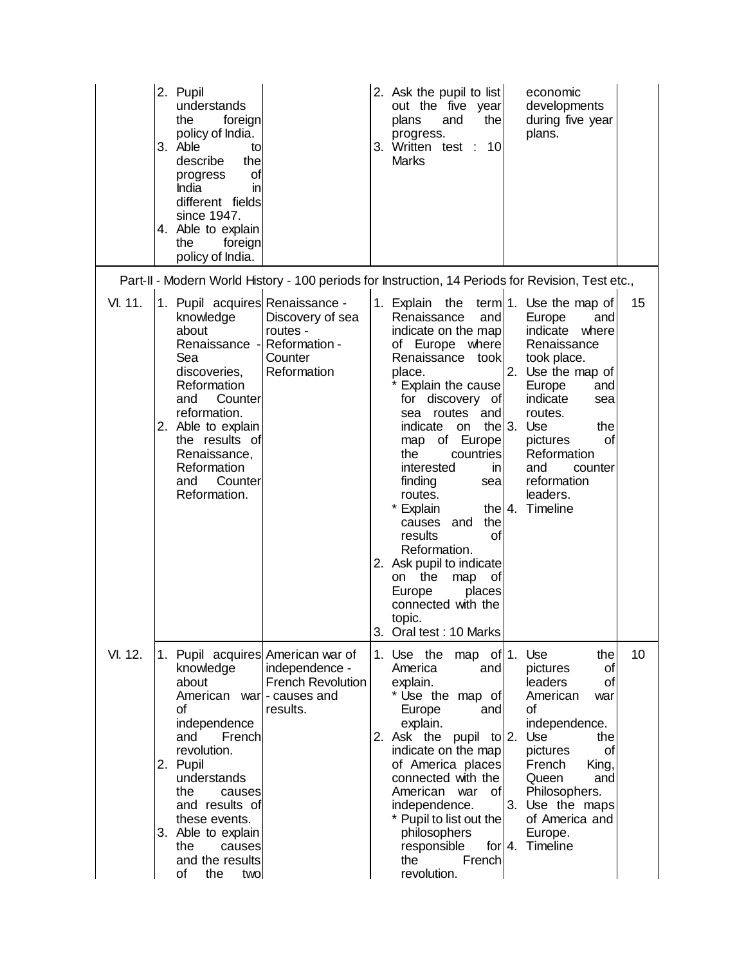|         | 2. Pupil<br>understands<br>the<br>foreign<br>policy of India.<br>3. Able<br>to<br>describe<br>the<br>οf<br>progress<br>India<br>in<br>different fields<br>since 1947.<br>4. Able to explain<br>foreign<br>the<br>policy of India.                                   |                                                                                             | 2. Ask the pupil to list<br>out the five year<br>the<br>plans<br>and<br>progress.<br>3. Written test :<br>10<br><b>Marks</b>                                                                                                                                                                                                                                                                                                                                                        | economic<br>developments<br>during five year<br>plans.                                                                                                                                                                                                                                 |    |
|---------|---------------------------------------------------------------------------------------------------------------------------------------------------------------------------------------------------------------------------------------------------------------------|---------------------------------------------------------------------------------------------|-------------------------------------------------------------------------------------------------------------------------------------------------------------------------------------------------------------------------------------------------------------------------------------------------------------------------------------------------------------------------------------------------------------------------------------------------------------------------------------|----------------------------------------------------------------------------------------------------------------------------------------------------------------------------------------------------------------------------------------------------------------------------------------|----|
|         |                                                                                                                                                                                                                                                                     |                                                                                             | Part-II - Modern World History - 100 periods for Instruction, 14 Periods for Revision, Test etc.,                                                                                                                                                                                                                                                                                                                                                                                   |                                                                                                                                                                                                                                                                                        |    |
| VI. 11. | 1. Pupil acquires Renaissance -<br>knowledge<br>about<br>Renaissance -<br>Sea<br>discoveries,<br>Reformation<br>Counter<br>and<br>reformation.<br>2. Able to explain<br>the results of<br>Renaissance,<br>Reformation<br>Counter<br>and<br>Reformation.             | Discovery of sea<br>routes -<br>Reformation -<br>Counter<br>Reformation                     | 1. Explain the<br>Renaissance<br>and<br>indicate on the map<br>of Europe where<br>Renaissance took<br>place.<br>Explain the cause<br>for discovery of<br>sea routes and<br>indicate<br>on<br>map of Europe<br>the<br>countries<br>interested<br>in<br>finding<br>sea<br>routes.<br>* Explain<br>the<br>causes and<br>of<br>results<br>Reformation.<br>2. Ask pupil to indicate<br>on the<br>map<br>0f<br>Europe<br>places<br>connected with the<br>topic.<br>3. Oral test: 10 Marks | term 1. Use the map of<br>Europe<br>and<br>indicate<br>where<br>Renaissance<br>took place.<br>2. Use the map of<br>Europe<br>and<br>indicate<br>sea<br>routes.<br>the $3.$ Use<br>the<br>pictures<br>of<br>Reformation<br>and<br>counter<br>reformation<br>leaders.<br>the 4. Timeline | 15 |
| VI. 12. | knowledge<br>about<br>American war  - causes and<br>οf<br>independence<br>French<br>and<br>revolution.<br>2. Pupil<br>understands<br>the<br>causes<br>and results of<br>these events.<br>3. Able to explain<br>the<br>causes<br>and the results<br>of<br>the<br>two | 1. Pupil acquires American war of<br>independence -<br><b>French Revolution</b><br>results. | 1. Use the<br>map of $1$ . Use<br>America<br>and<br>explain.<br>* Use the map of<br>Europe<br>and<br>explain.<br>2. Ask the pupil to $ 2$ .<br>indicate on the map<br>of America places<br>connected with the<br>American<br>of l<br>war<br>independence.<br>* Pupil to list out the<br>philosophers<br>responsible<br>the<br>French<br>revolution.                                                                                                                                 | the<br>pictures<br>of<br>leaders<br>of<br>American<br>war<br>οf<br>independence.<br>Use<br>the<br>pictures<br>οf<br>French<br>King,<br>Queen<br>and<br>Philosophers.<br>3. Use the maps<br>of America and<br>Europe.<br>for 4. Timeline                                                | 10 |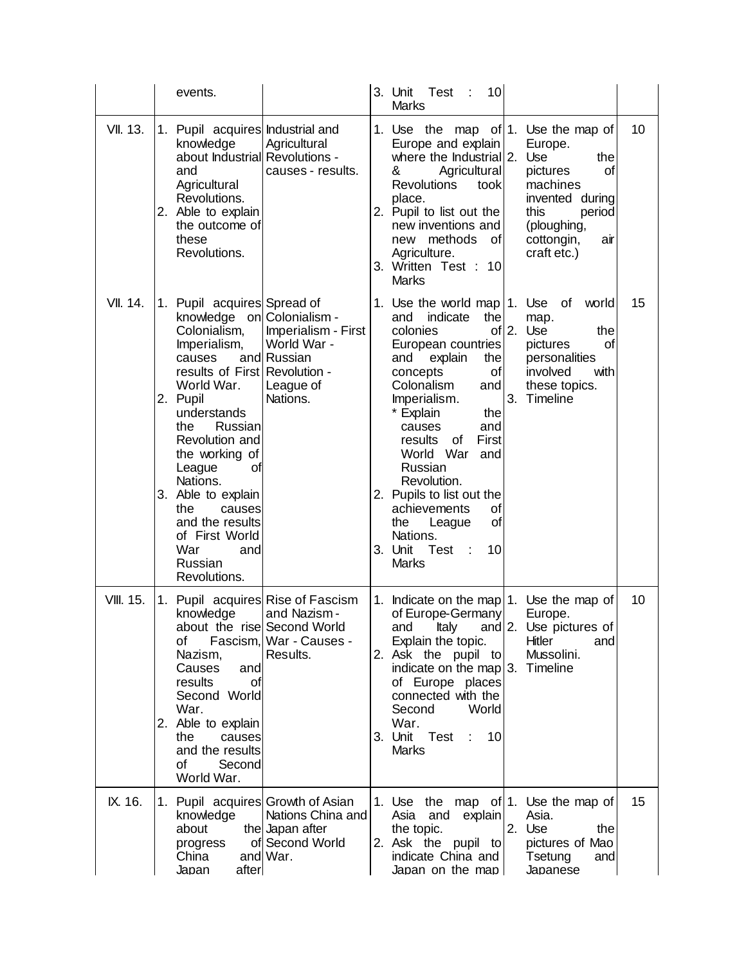|                  | events.                                                                                                                                                                                                                                                                                                                                                                                 |                                                                                       | 10<br>3. Unit Test<br>÷<br><b>Marks</b>                                                                                                                                                                                                                                                                                                                                                                                                                                                                                                                        |    |
|------------------|-----------------------------------------------------------------------------------------------------------------------------------------------------------------------------------------------------------------------------------------------------------------------------------------------------------------------------------------------------------------------------------------|---------------------------------------------------------------------------------------|----------------------------------------------------------------------------------------------------------------------------------------------------------------------------------------------------------------------------------------------------------------------------------------------------------------------------------------------------------------------------------------------------------------------------------------------------------------------------------------------------------------------------------------------------------------|----|
| <b>VII. 13.</b>  | Pupil acquires Industrial and<br>1.<br>knowledge<br>about Industrial Revolutions -<br>and<br>Agricultural<br>Revolutions.<br>2. Able to explain<br>the outcome of<br>these<br>Revolutions.                                                                                                                                                                                              | Agricultural<br>causes - results.                                                     | 1. Use the map of 1. Use the map of<br>Europe and explain<br>Europe.<br>where the Industrial 2.<br>Use<br>the<br>Agricultural<br>&<br>pictures<br>οf<br><b>Revolutions</b><br>machines<br>took<br>place.<br>invented during<br>2. Pupil to list out the<br>this<br>period<br>new inventions and<br>(ploughing,<br>new methods of<br>cottongin,<br>air<br>Agriculture.<br>craft etc.)<br>3. Written Test : 10<br><b>Marks</b>                                                                                                                                   | 10 |
| VII. 14.         | Pupil acquires Spread of<br>1.<br>knowledge on Colonialism -<br>Colonialism,<br>Imperialism,<br>causes<br>results of First Revolution -<br>World War.<br>2. Pupil<br>understands<br>Russian<br>the<br>Revolution and<br>the working of<br>League<br>Οt<br>Nations.<br>3. Able to explain<br>the<br>causes<br>and the results<br>of First World<br>War<br>and<br>Russian<br>Revolutions. | Imperialism - First<br>World War -<br>and Russian<br>League of<br>Nations.            | 1. Use the world map $ 1$ . Use of<br>world<br>indicate<br>the<br>and<br>map.<br>of $2$ .<br>colonies<br>Use<br>the<br>European countries<br>pictures<br>οf<br>explain<br>and<br>the<br>personalities<br>involved<br>with<br>concepts<br>οf<br>Colonalism<br>these topics.<br>and<br>3. Timeline<br>Imperialism.<br>* Explain<br>the<br>and<br>causes<br>First<br>results<br>οf<br>World War<br>and<br>Russian<br>Revolution.<br>2. Pupils to list out the<br>achievements<br>οf<br>οf<br>the<br>League<br>Nations.<br>10<br>3. Unit Test<br>÷<br><b>Marks</b> | 15 |
| <b>VIII. 15.</b> | 1.<br>knowledge<br>about the rise Second World<br>οf<br>Nazism,<br>Causes<br>and<br>results<br>οf<br>Second World<br>War.<br>2. Able to explain<br>the<br>causes<br>and the results<br>Second<br>οf<br>World War.                                                                                                                                                                       | Pupil acquires Rise of Fascism<br>and Nazism -<br>Fascism, War - Causes -<br>Results. | 1. Indicate on the map   1. Use the map of<br>of Europe-Germany<br>Europe.<br>and Italy and 2. Use pictures of<br>Explain the topic.<br>Hitler<br>and<br>Mussolini.<br>2. Ask the pupil to<br>indicate on the map 3. Timeline<br>of Europe places<br>connected with the<br>Second<br>World<br>War.<br>3. Unit Test<br>10<br>Marks                                                                                                                                                                                                                              | 10 |
| IX. 16.          | 1. Pupil acquires Growth of Asian<br>knowledge<br>about<br>progress<br>China<br>Japan<br>after                                                                                                                                                                                                                                                                                          | Nations China and<br>the Japan after<br>of Second World<br>and War.                   | 1. Use the map of 1. Use the map of<br>Asia.<br>Asia and explain<br>2. Use<br>the topic.<br>the<br>2. Ask the pupil to<br>pictures of Mao<br>indicate China and<br>Tsetung<br>and<br>Japan on the map<br>Japanese                                                                                                                                                                                                                                                                                                                                              | 15 |